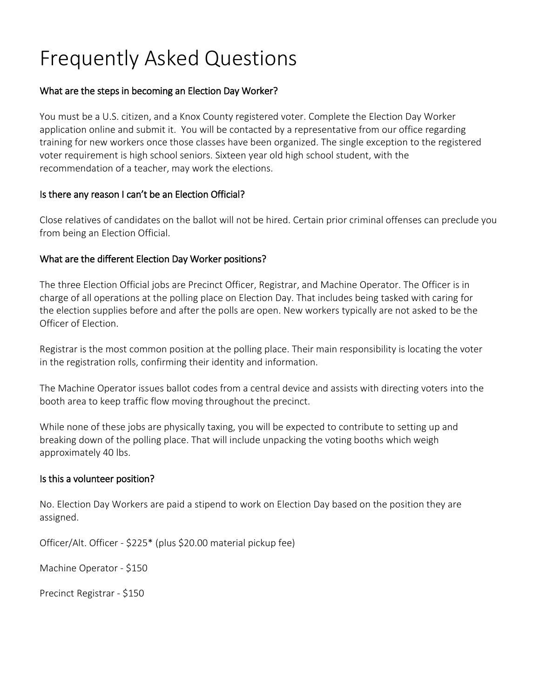# Frequently Asked Questions

#### What are the steps in becoming an Election Day Worker?

You must be a U.S. citizen, and a Knox County registered voter. Complete the Election Day Worker application online and submit it. You will be contacted by a representative from our office regarding training for new workers once those classes have been organized. The single exception to the registered voter requirement is high school seniors. Sixteen year old high school student, with the recommendation of a teacher, may work the elections.

#### Is there any reason I can't be an Election Official?

Close relatives of candidates on the ballot will not be hired. Certain prior criminal offenses can preclude you from being an Election Official.

#### What are the different Election Day Worker positions?

The three Election Official jobs are Precinct Officer, Registrar, and Machine Operator. The Officer is in charge of all operations at the polling place on Election Day. That includes being tasked with caring for the election supplies before and after the polls are open. New workers typically are not asked to be the Officer of Election.

Registrar is the most common position at the polling place. Their main responsibility is locating the voter in the registration rolls, confirming their identity and information.

The Machine Operator issues ballot codes from a central device and assists with directing voters into the booth area to keep traffic flow moving throughout the precinct.

While none of these jobs are physically taxing, you will be expected to contribute to setting up and breaking down of the polling place. That will include unpacking the voting booths which weigh approximately 40 lbs.

#### Is this a volunteer position?

No. Election Day Workers are paid a stipend to work on Election Day based on the position they are assigned.

Officer/Alt. Officer - \$225\* (plus \$20.00 material pickup fee)

Machine Operator - \$150

Precinct Registrar - \$150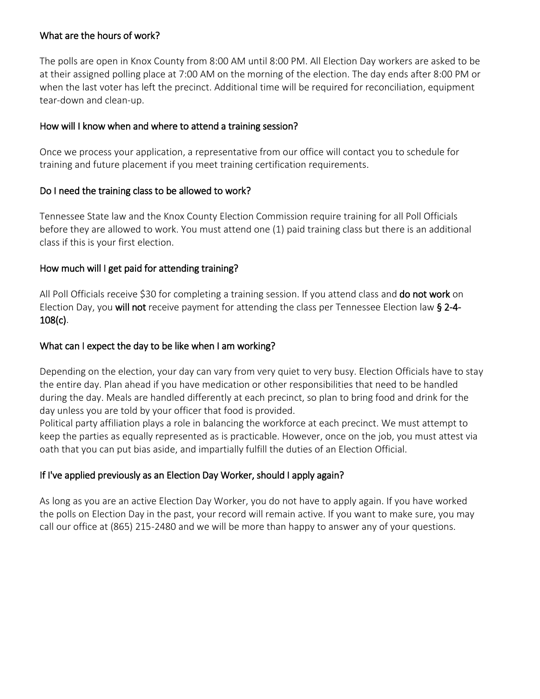#### What are the hours of work?

The polls are open in Knox County from 8:00 AM until 8:00 PM. All Election Day workers are asked to be at their assigned polling place at 7:00 AM on the morning of the election. The day ends after 8:00 PM or when the last voter has left the precinct. Additional time will be required for reconciliation, equipment tear-down and clean-up.

#### How will I know when and where to attend a training session?

Once we process your application, a representative from our office will contact you to schedule for training and future placement if you meet training certification requirements.

# Do I need the training class to be allowed to work?

Tennessee State law and the Knox County Election Commission require training for all Poll Officials before they are allowed to work. You must attend one (1) paid training class but there is an additional class if this is your first election.

# How much will I get paid for attending training?

All Poll Officials receive \$30 for completing a training session. If you attend class and do not work on Election Day, you will not receive payment for attending the class per Tennessee Election law § 2-4- 108(c).

#### What can I expect the day to be like when I am working?

Depending on the election, your day can vary from very quiet to very busy. Election Officials have to stay the entire day. Plan ahead if you have medication or other responsibilities that need to be handled during the day. Meals are handled differently at each precinct, so plan to bring food and drink for the day unless you are told by your officer that food is provided.

Political party affiliation plays a role in balancing the workforce at each precinct. We must attempt to keep the parties as equally represented as is practicable. However, once on the job, you must attest via oath that you can put bias aside, and impartially fulfill the duties of an Election Official.

# If I've applied previously as an Election Day Worker, should I apply again?

As long as you are an active Election Day Worker, you do not have to apply again. If you have worked the polls on Election Day in the past, your record will remain active. If you want to make sure, you may call our office at (865) 215-2480 and we will be more than happy to answer any of your questions.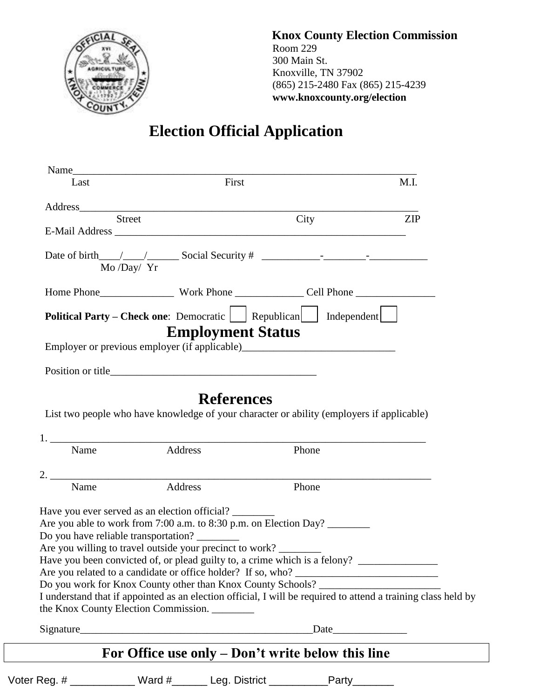

 **Knox County Election Commission** Room 229 300 Main St. Knoxville, TN 37902 (865) 215-2480 Fax (865) 215-4239 **www.knoxcounty.org/election**

# **Election Official Application**

| Name<br>Last    | First                                                                                                                                                                                                                                                                                                                                                                                                                                                                                                                                                                        |       | M.I.       |
|-----------------|------------------------------------------------------------------------------------------------------------------------------------------------------------------------------------------------------------------------------------------------------------------------------------------------------------------------------------------------------------------------------------------------------------------------------------------------------------------------------------------------------------------------------------------------------------------------------|-------|------------|
|                 | Address and the contract of the contract of the contract of the contract of the contract of the contract of the contract of the contract of the contract of the contract of the contract of the contract of the contract of th                                                                                                                                                                                                                                                                                                                                               |       |            |
| Street          |                                                                                                                                                                                                                                                                                                                                                                                                                                                                                                                                                                              | City  | <b>ZIP</b> |
|                 |                                                                                                                                                                                                                                                                                                                                                                                                                                                                                                                                                                              |       |            |
| $Mo$ /Day/ $Yr$ | Date of birth $\_\_\_\_\_\_\_\_\$ Social Security # $\_\_\_\_\_\_\_\_\_\_\_\_\_\_\_\_\_\_\_\_\_\_\_\_\_$                                                                                                                                                                                                                                                                                                                                                                                                                                                                     |       |            |
|                 |                                                                                                                                                                                                                                                                                                                                                                                                                                                                                                                                                                              |       |            |
|                 | Political Party – Check one: Democratic Republican Independent<br><b>Employment Status</b><br>Employer or previous employer (if applicable)                                                                                                                                                                                                                                                                                                                                                                                                                                  |       |            |
|                 |                                                                                                                                                                                                                                                                                                                                                                                                                                                                                                                                                                              |       |            |
|                 | <b>References</b><br>List two people who have knowledge of your character or ability (employers if applicable)                                                                                                                                                                                                                                                                                                                                                                                                                                                               |       |            |
|                 |                                                                                                                                                                                                                                                                                                                                                                                                                                                                                                                                                                              |       |            |
| Name            | Address                                                                                                                                                                                                                                                                                                                                                                                                                                                                                                                                                                      | Phone |            |
| Name            | $2.$ $\overline{\phantom{a}}$<br>Address                                                                                                                                                                                                                                                                                                                                                                                                                                                                                                                                     | Phone |            |
|                 | Have you ever served as an election official?<br>Are you able to work from 7:00 a.m. to 8:30 p.m. on Election Day?<br>Do you have reliable transportation?<br>Are you willing to travel outside your precinct to work?<br>Have you been convicted of, or plead guilty to, a crime which is a felony? _________________________<br>Do you work for Knox County other than Knox County Schools? _____________________<br>I understand that if appointed as an election official, I will be required to attend a training class held by<br>the Knox County Election Commission. |       |            |
|                 |                                                                                                                                                                                                                                                                                                                                                                                                                                                                                                                                                                              |       |            |